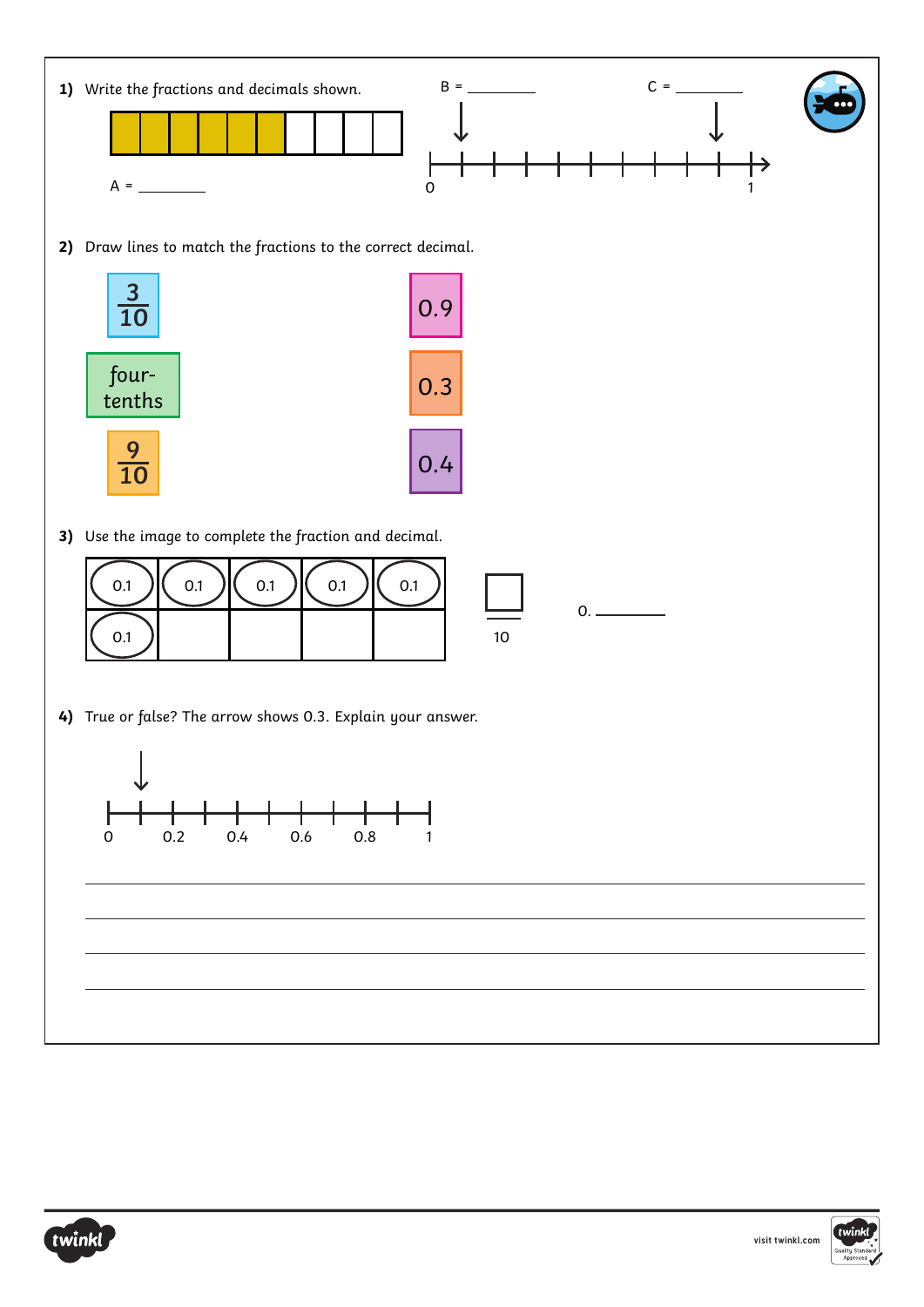



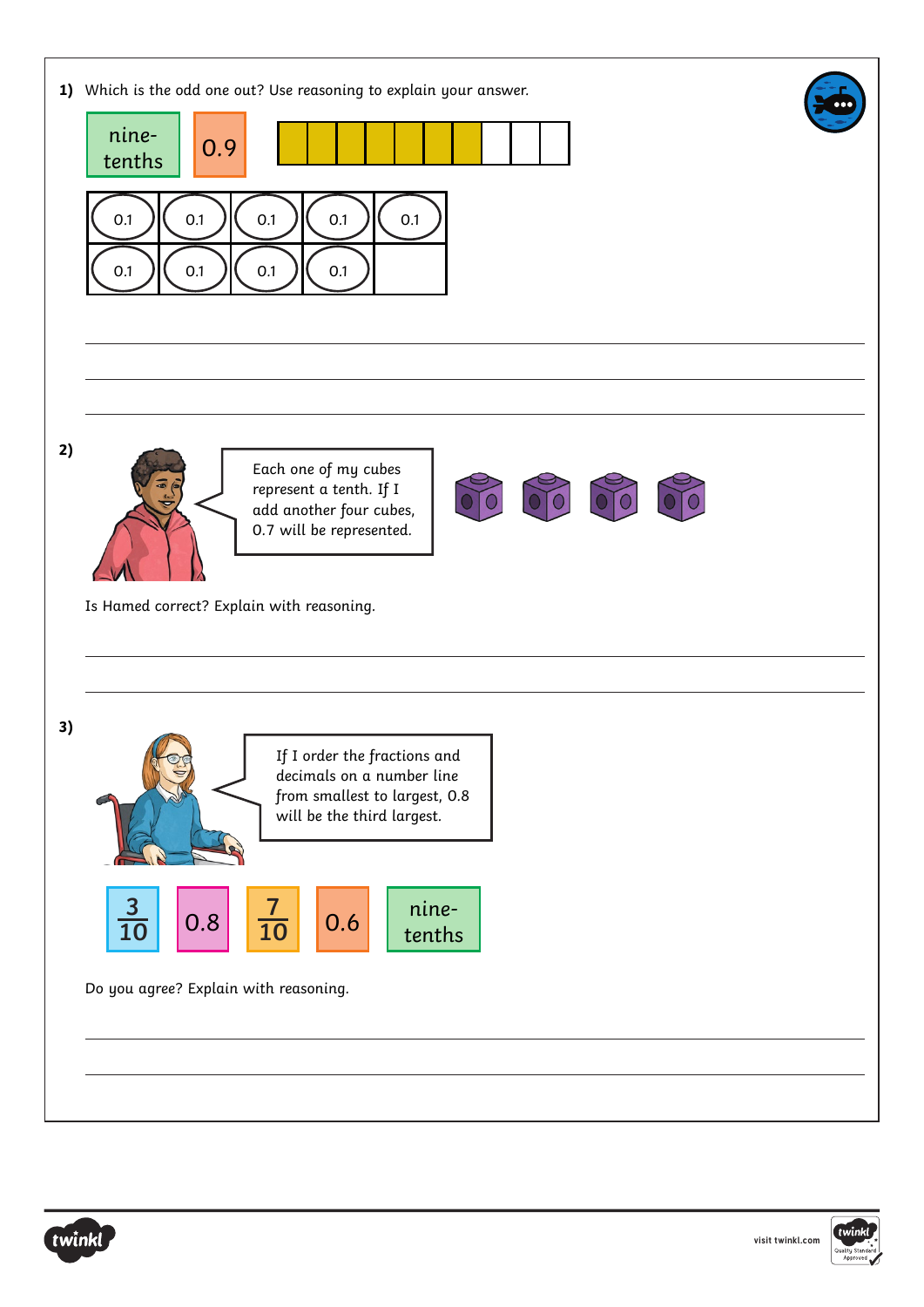